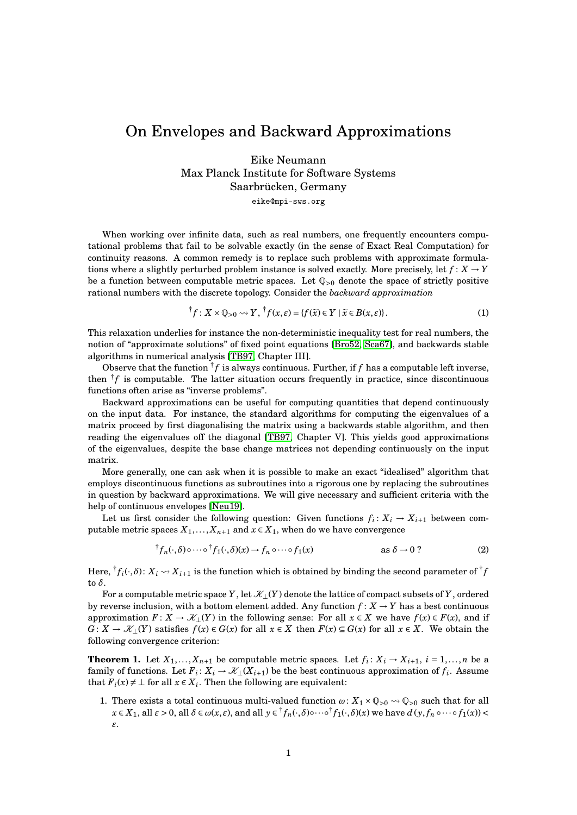## On Envelopes and Backward Approximations

Eike Neumann Max Planck Institute for Software Systems Saarbrücken, Germany

eike@mpi-sws.org

When working over infinite data, such as real numbers, one frequently encounters computational problems that fail to be solvable exactly (in the sense of Exact Real Computation) for continuity reasons. A common remedy is to replace such problems with approximate formulations where a slightly perturbed problem instance is solved exactly. More precisely, let  $f: X \to Y$ be a function between computable metric spaces. Let  $\mathbb{Q}_{>0}$  denote the space of strictly positive rational numbers with the discrete topology. Consider the *backward approximation*

$$
^{\dagger}f: X \times \mathbb{Q}_{>0} \rightsquigarrow Y, \ ^{\dagger}f(x,\varepsilon) = \{ f(\widetilde{x}) \in Y \mid \widetilde{x} \in B(x,\varepsilon) \}.
$$
 (1)

This relaxation underlies for instance the non-deterministic inequality test for real numbers, the notion of "approximate solutions" of fixed point equations [\[Bro52,](#page-1-0) [Sca67\]](#page-1-1), and backwards stable algorithms in numerical analysis [\[TB97,](#page-1-2) Chapter III].

Observe that the function  ${}^{\dagger}f$  is always continuous. Further, if f has a computable left inverse, then  ${}^{\dagger}f$  is computable. The latter situation occurs frequently in practice, since discontinuous functions often arise as "inverse problems".

Backward approximations can be useful for computing quantities that depend continuously on the input data. For instance, the standard algorithms for computing the eigenvalues of a matrix proceed by first diagonalising the matrix using a backwards stable algorithm, and then reading the eigenvalues off the diagonal [\[TB97,](#page-1-2) Chapter V]. This yields good approximations of the eigenvalues, despite the base change matrices not depending continuously on the input matrix.

More generally, one can ask when it is possible to make an exact "idealised" algorithm that employs discontinuous functions as subroutines into a rigorous one by replacing the subroutines in question by backward approximations. We will give necessary and sufficient criteria with the help of continuous envelopes [\[Neu19\]](#page-1-3).

Let us first consider the following question: Given functions  $f_i: X_i \to X_{i+1}$  between computable metric spaces  $X_1, \ldots, X_{n+1}$  and  $x \in X_1$ , when do we have convergence

<span id="page-0-0"></span>
$$
{}^{\dagger}f_n(\cdot,\delta)\circ\cdots\circ{}^{\dagger}f_1(\cdot,\delta)(x)\to f_n\circ\cdots\circ f_1(x) \qquad \text{as }\delta\to 0? \tag{2}
$$

Here,  ${}^{\dagger}f_i(\cdot,\delta)$ :  $X_i \leadsto X_{i+1}$  is the function which is obtained by binding the second parameter of  ${}^{\dagger}f$ to *δ*.

For a computable metric space *Y*, let  $\mathcal{K}_1(Y)$  denote the lattice of compact subsets of *Y*, ordered by reverse inclusion, with a bottom element added. Any function  $f: X \to Y$  has a best continuous approximation  $F: X \to \mathcal{X}_\perp(Y)$  in the following sense: For all  $x \in X$  we have  $f(x) \in F(x)$ , and if *G* : *X* →  $\mathcal{X}_\perp$ (*Y*) satisfies  $f(x) \in G(x)$  for all  $x \in X$  then  $F(x) \subseteq G(x)$  for all  $x \in X$ . We obtain the following convergence criterion:

<span id="page-0-1"></span>**Theorem 1.** Let  $X_1, \ldots, X_{n+1}$  be computable metric spaces. Let  $f_i: X_i \to X_{i+1}, i = 1, \ldots, n$  be a family of functions. Let  $F_i: X_i \to X_1(X_{i+1})$  be the best continuous approximation of  $f_i$ . Assume that  $F_i(x) \neq \bot$  for all  $x \in X_i$ . Then the following are equivalent:

1. There exists a total continuous multi-valued function  $\omega: X_1 \times \mathbb{Q}_{>0} \rightarrow \mathbb{Q}_{>0}$  such that for all  $x\in X_1,$  all  $\varepsilon>0,$  all  $\delta\in\omega(x,\varepsilon),$  and all  $y\in {}^{\dagger}f_n(\cdot,\delta){\circ}\cdots\circ {}^{\dagger}f_1(\cdot,\delta)(x)$  we have  $d\left(y,f_n\circ\cdots\circ f_1(x)\right)<$ *ε*.